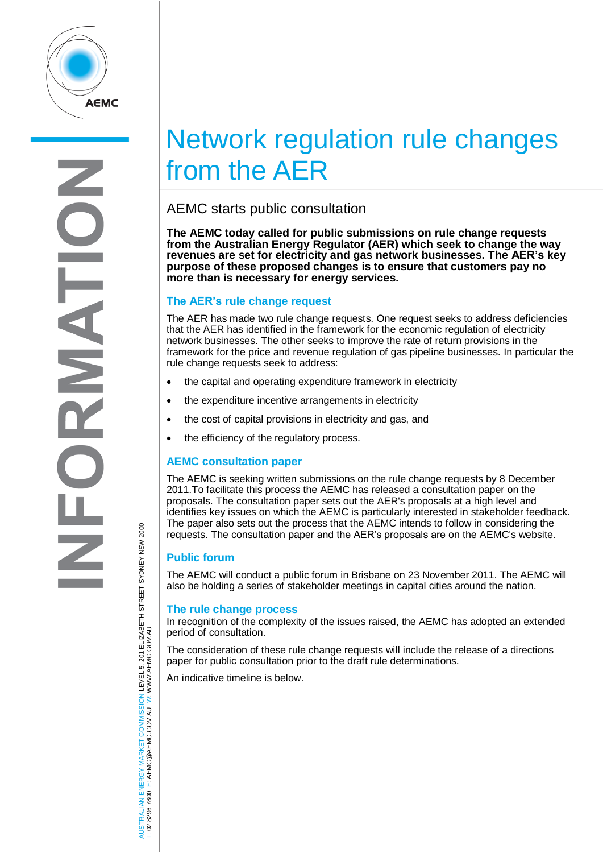

# Network regulation rule changes from the AER

## AEMC starts public consultation

**The AEMC today called for public submissions on rule change requests from the Australian Energy Regulator (AER) which seek to change the way revenues are set for electricity and gas network businesses. The AER's key purpose of these proposed changes is to ensure that customers pay no more than is necessary for energy services.**

### **The AER's rule change request**

The AER has made two rule change requests. One request seeks to address deficiencies that the AER has identified in the framework for the economic regulation of electricity network businesses. The other seeks to improve the rate of return provisions in the framework for the price and revenue regulation of gas pipeline businesses. In particular the rule change requests seek to address:

- the capital and operating expenditure framework in electricity
- the expenditure incentive arrangements in electricity
- the cost of capital provisions in electricity and gas, and
- the efficiency of the regulatory process.

#### **AEMC consultation paper**

The AEMC is seeking written submissions on the rule change requests by 8 December 2011.To facilitate this process the AEMC has released a consultation paper on the proposals. The consultation paper sets out the AER's proposals at a high level and identifies key issues on which the AEMC is particularly interested in stakeholder feedback. The paper also sets out the process that the AEMC intends to follow in considering the requests. The consultation paper and the AER's proposals are on the AEMC's website.

#### **Public forum**

The AEMC will conduct a public forum in Brisbane on 23 November 2011. The AEMC will also be holding a series of stakeholder meetings in capital cities around the nation.

#### **The rule change process**

In recognition of the complexity of the issues raised, the AEMC has adopted an extended period of consultation.

The consideration of these rule change requests will include the release of a directions paper for public consultation prior to the draft rule determinations.

An indicative timeline is below.

JSTRALIAN ENERGY MARKET COMMISSION LEVEL 5, 201 ELIZABETH STREET SYDNEY NSW 2000<br>02 8296 7800 E: AEMC@AEMC.GOV.AU W: WWW.AEMC.GOV.AU AUSTRALIAN ENERGY MARKET COMMISSION LEVEL 5, 201 ELIZABETH STREET SYDNEY NSW 2000 W: WWW.AEMC.GOV.AU T: 02 8296 7800 E: AEMC@AEMC.GOV.AU AUSTI